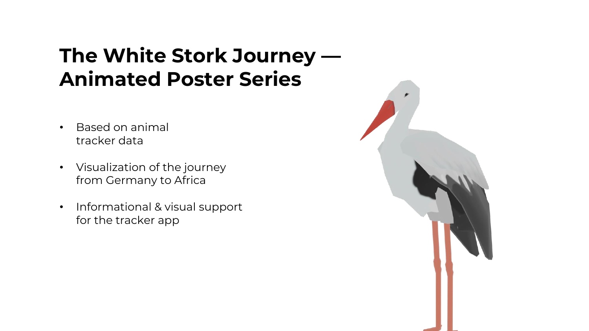## **The White Stork Journey — Animated Poster Series**

- Based on animal tracker data
- Visualization of the journey from Germany to Africa
- Informational & visual support for the tracker app

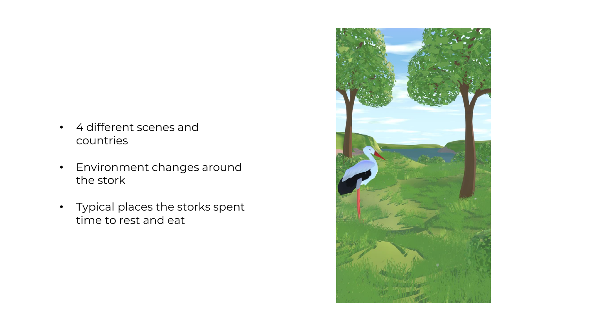- 4 different scenes and countries
- Environment changes around the stork
- Typical places the storks spent time to rest and eat

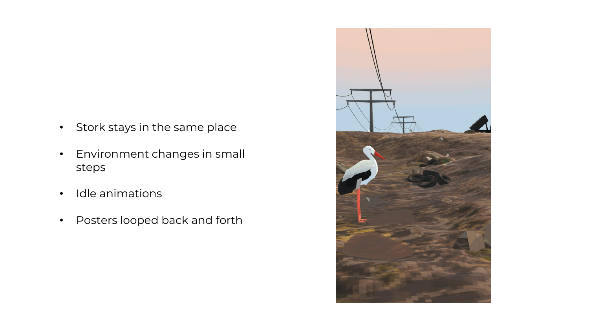- Stork stays in the same place
- Environment changes in small steps
- Idle animations
- Posters looped back and forth

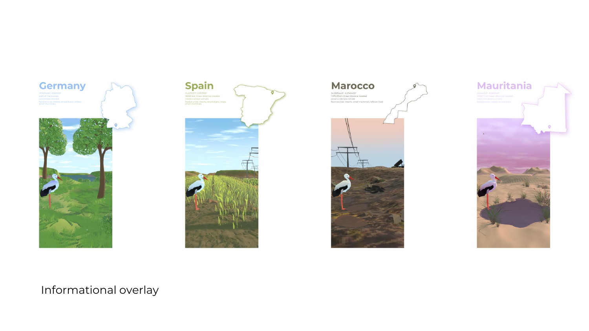







### Informational overlay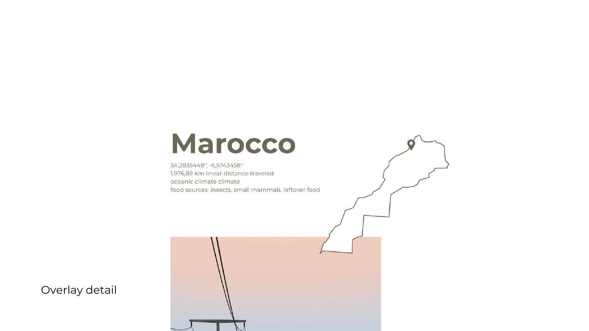# **Marocco**

34,2835448°, -6,5743458° 1.976,89 km linear distance traveled oceanic climate climate food sources: insects, small mammals, leftover food

Overlay detail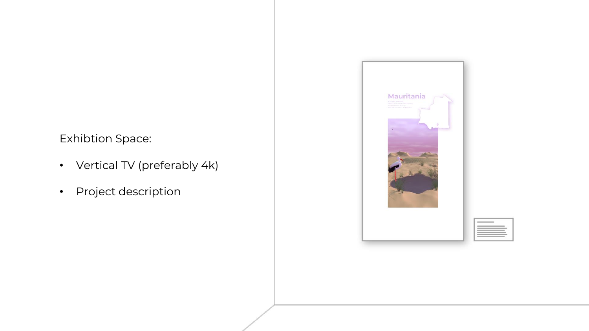### Exhibtion Space:

- Vertical TV (preferably 4k)
- Project description



| ٠<br>÷ |  |
|--------|--|
| ٠      |  |
| í      |  |
| W      |  |
| ٠<br>ı |  |
|        |  |